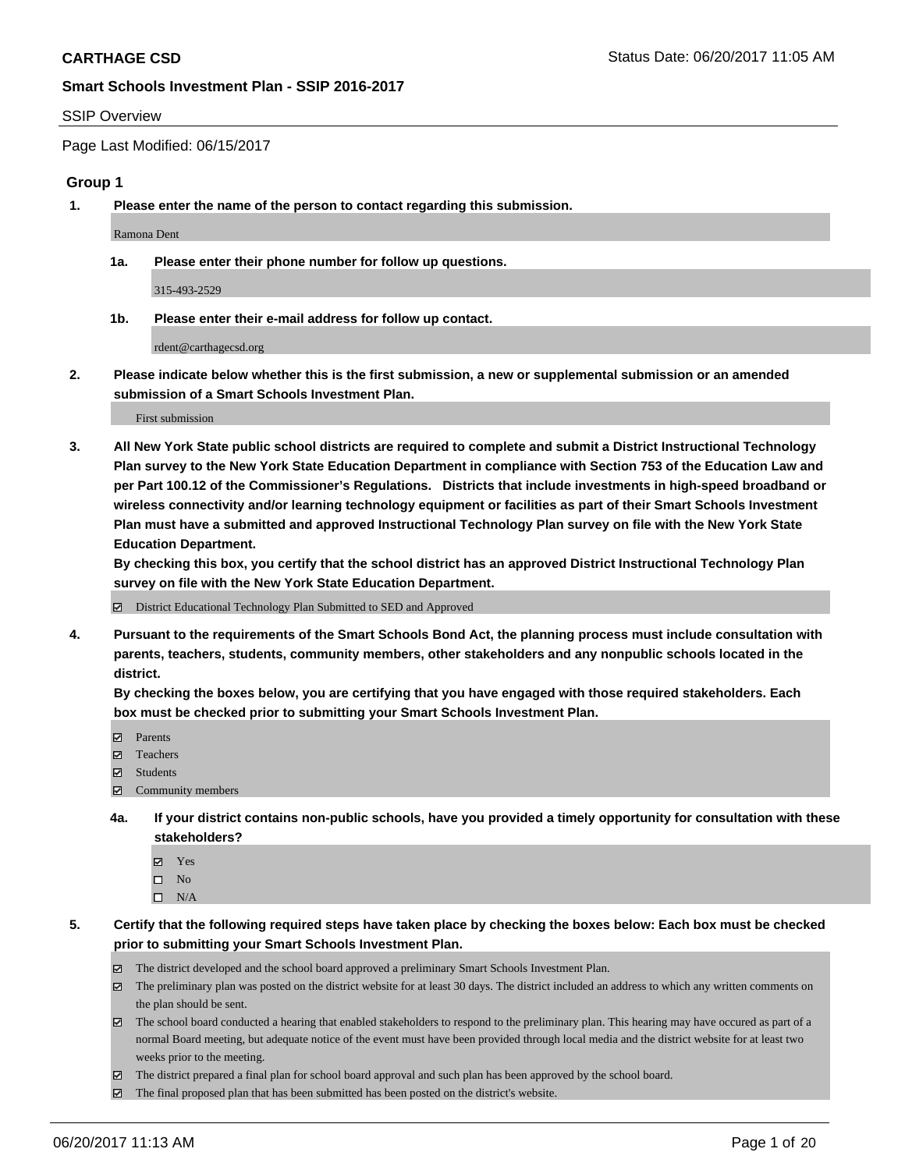#### SSIP Overview

Page Last Modified: 06/15/2017

#### **Group 1**

**1. Please enter the name of the person to contact regarding this submission.**

Ramona Dent

**1a. Please enter their phone number for follow up questions.**

315-493-2529

**1b. Please enter their e-mail address for follow up contact.**

rdent@carthagecsd.org

**2. Please indicate below whether this is the first submission, a new or supplemental submission or an amended submission of a Smart Schools Investment Plan.**

First submission

**3. All New York State public school districts are required to complete and submit a District Instructional Technology Plan survey to the New York State Education Department in compliance with Section 753 of the Education Law and per Part 100.12 of the Commissioner's Regulations. Districts that include investments in high-speed broadband or wireless connectivity and/or learning technology equipment or facilities as part of their Smart Schools Investment Plan must have a submitted and approved Instructional Technology Plan survey on file with the New York State Education Department.** 

**By checking this box, you certify that the school district has an approved District Instructional Technology Plan survey on file with the New York State Education Department.**

District Educational Technology Plan Submitted to SED and Approved

**4. Pursuant to the requirements of the Smart Schools Bond Act, the planning process must include consultation with parents, teachers, students, community members, other stakeholders and any nonpublic schools located in the district.** 

**By checking the boxes below, you are certifying that you have engaged with those required stakeholders. Each box must be checked prior to submitting your Smart Schools Investment Plan.**

- **マ** Parents
- □ Teachers
- Students
- $\Xi$  Community members
- **4a. If your district contains non-public schools, have you provided a timely opportunity for consultation with these stakeholders?**
	- Yes
	- $\hfill \square$  No
	- $\square$  N/A
- **5. Certify that the following required steps have taken place by checking the boxes below: Each box must be checked prior to submitting your Smart Schools Investment Plan.**
	- The district developed and the school board approved a preliminary Smart Schools Investment Plan.
	- $\boxtimes$  The preliminary plan was posted on the district website for at least 30 days. The district included an address to which any written comments on the plan should be sent.
	- $\boxtimes$  The school board conducted a hearing that enabled stakeholders to respond to the preliminary plan. This hearing may have occured as part of a normal Board meeting, but adequate notice of the event must have been provided through local media and the district website for at least two weeks prior to the meeting.
	- The district prepared a final plan for school board approval and such plan has been approved by the school board.
	- $\boxtimes$  The final proposed plan that has been submitted has been posted on the district's website.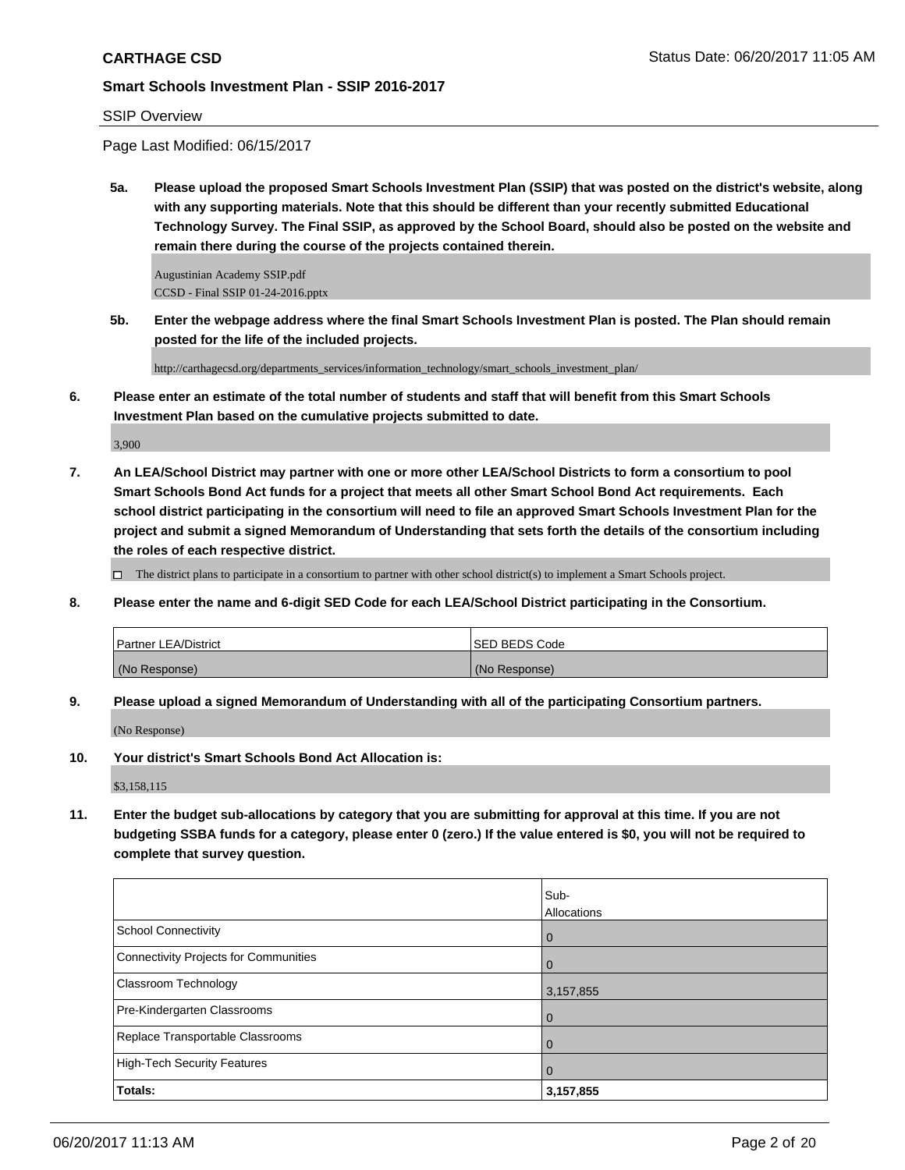### SSIP Overview

Page Last Modified: 06/15/2017

**5a. Please upload the proposed Smart Schools Investment Plan (SSIP) that was posted on the district's website, along with any supporting materials. Note that this should be different than your recently submitted Educational Technology Survey. The Final SSIP, as approved by the School Board, should also be posted on the website and remain there during the course of the projects contained therein.**

Augustinian Academy SSIP.pdf CCSD - Final SSIP 01-24-2016.pptx

**5b. Enter the webpage address where the final Smart Schools Investment Plan is posted. The Plan should remain posted for the life of the included projects.**

http://carthagecsd.org/departments\_services/information\_technology/smart\_schools\_investment\_plan/

**6. Please enter an estimate of the total number of students and staff that will benefit from this Smart Schools Investment Plan based on the cumulative projects submitted to date.**

3,900

**7. An LEA/School District may partner with one or more other LEA/School Districts to form a consortium to pool Smart Schools Bond Act funds for a project that meets all other Smart School Bond Act requirements. Each school district participating in the consortium will need to file an approved Smart Schools Investment Plan for the project and submit a signed Memorandum of Understanding that sets forth the details of the consortium including the roles of each respective district.**

 $\Box$  The district plans to participate in a consortium to partner with other school district(s) to implement a Smart Schools project.

**8. Please enter the name and 6-digit SED Code for each LEA/School District participating in the Consortium.**

| <b>Partner LEA/District</b> | ISED BEDS Code |
|-----------------------------|----------------|
| (No Response)               | (No Response)  |

**9. Please upload a signed Memorandum of Understanding with all of the participating Consortium partners.**

(No Response)

**10. Your district's Smart Schools Bond Act Allocation is:**

\$3,158,115

**11. Enter the budget sub-allocations by category that you are submitting for approval at this time. If you are not budgeting SSBA funds for a category, please enter 0 (zero.) If the value entered is \$0, you will not be required to complete that survey question.**

|                                       | Sub-               |
|---------------------------------------|--------------------|
|                                       | <b>Allocations</b> |
| School Connectivity                   | l 0                |
| Connectivity Projects for Communities | l O                |
| <b>Classroom Technology</b>           | 3,157,855          |
| Pre-Kindergarten Classrooms           | l 0                |
| Replace Transportable Classrooms      | $\Omega$           |
| High-Tech Security Features           | $\overline{0}$     |
| Totals:                               | 3,157,855          |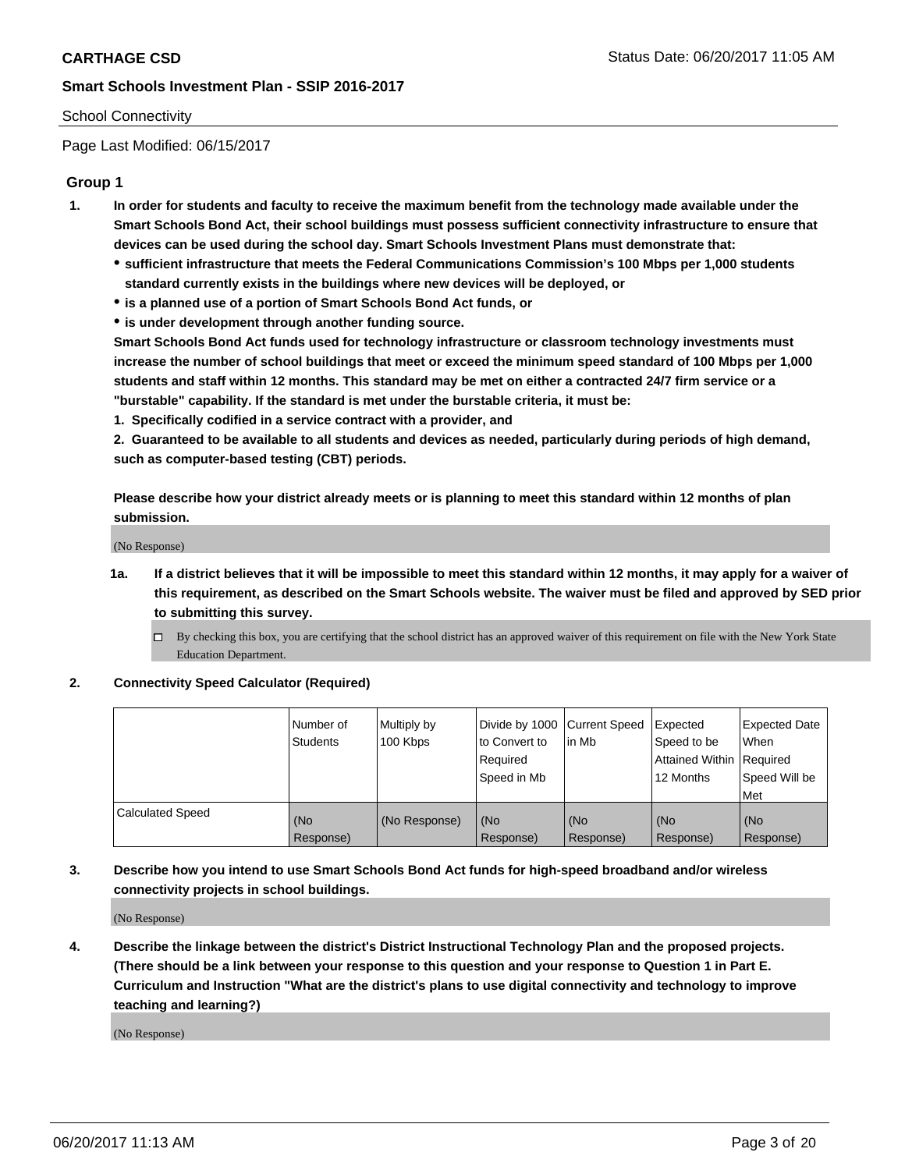#### School Connectivity

Page Last Modified: 06/15/2017

### **Group 1**

- **1. In order for students and faculty to receive the maximum benefit from the technology made available under the Smart Schools Bond Act, their school buildings must possess sufficient connectivity infrastructure to ensure that devices can be used during the school day. Smart Schools Investment Plans must demonstrate that:**
	- **sufficient infrastructure that meets the Federal Communications Commission's 100 Mbps per 1,000 students standard currently exists in the buildings where new devices will be deployed, or**
	- **is a planned use of a portion of Smart Schools Bond Act funds, or**
	- **is under development through another funding source.**

**Smart Schools Bond Act funds used for technology infrastructure or classroom technology investments must increase the number of school buildings that meet or exceed the minimum speed standard of 100 Mbps per 1,000 students and staff within 12 months. This standard may be met on either a contracted 24/7 firm service or a "burstable" capability. If the standard is met under the burstable criteria, it must be:**

**1. Specifically codified in a service contract with a provider, and**

**2. Guaranteed to be available to all students and devices as needed, particularly during periods of high demand, such as computer-based testing (CBT) periods.**

**Please describe how your district already meets or is planning to meet this standard within 12 months of plan submission.**

(No Response)

- **1a. If a district believes that it will be impossible to meet this standard within 12 months, it may apply for a waiver of this requirement, as described on the Smart Schools website. The waiver must be filed and approved by SED prior to submitting this survey.**
	- By checking this box, you are certifying that the school district has an approved waiver of this requirement on file with the New York State Education Department.

#### **2. Connectivity Speed Calculator (Required)**

|                         | l Number of<br><b>Students</b> | Multiply by<br>100 Kbps | Divide by 1000   Current Speed<br>to Convert to<br>Required<br>l Speed in Mb | in Mb            | Expected<br>Speed to be<br>Attained Within Required<br>12 Months | <b>Expected Date</b><br>When<br>Speed Will be<br><b>Met</b> |
|-------------------------|--------------------------------|-------------------------|------------------------------------------------------------------------------|------------------|------------------------------------------------------------------|-------------------------------------------------------------|
| <b>Calculated Speed</b> | (No<br>Response)               | (No Response)           | (No<br>Response)                                                             | (No<br>Response) | (No<br>Response)                                                 | l (No<br>Response)                                          |

## **3. Describe how you intend to use Smart Schools Bond Act funds for high-speed broadband and/or wireless connectivity projects in school buildings.**

(No Response)

**4. Describe the linkage between the district's District Instructional Technology Plan and the proposed projects. (There should be a link between your response to this question and your response to Question 1 in Part E. Curriculum and Instruction "What are the district's plans to use digital connectivity and technology to improve teaching and learning?)**

(No Response)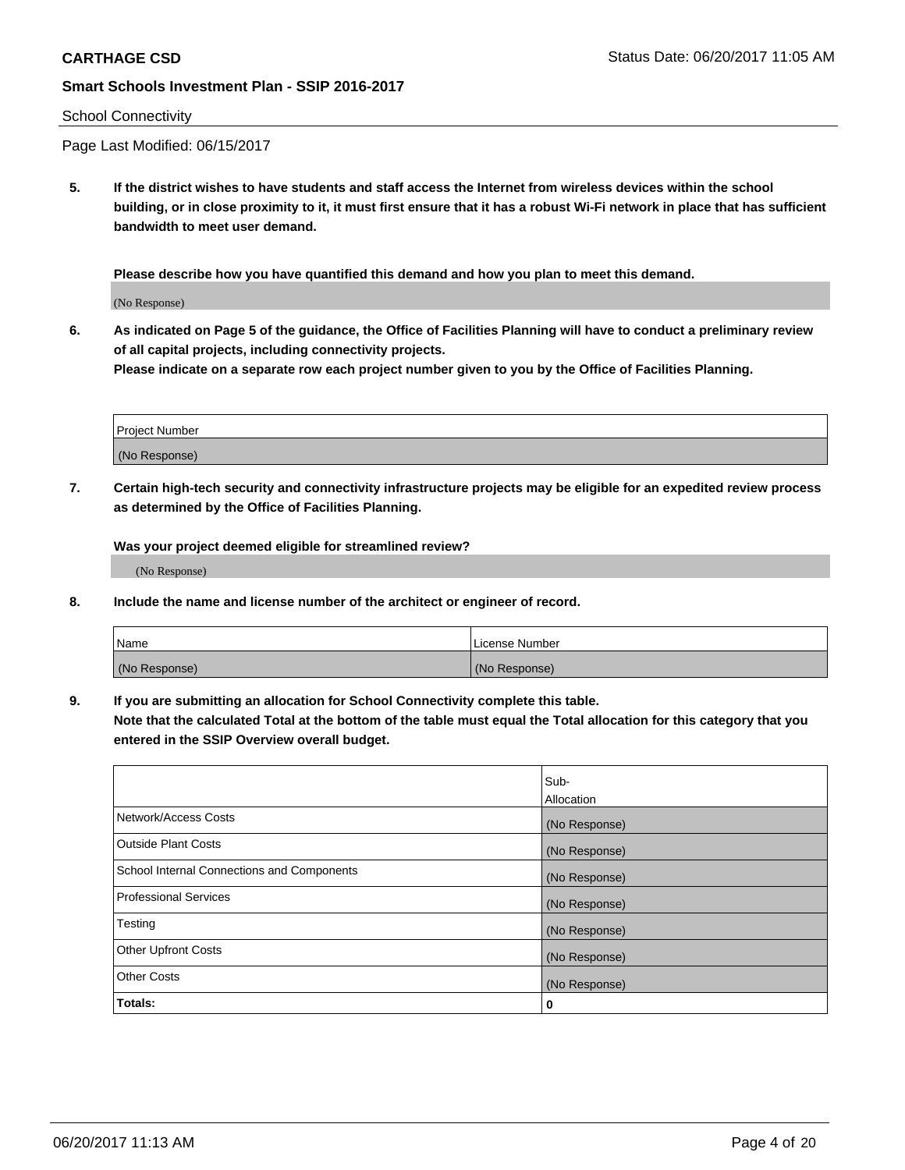#### School Connectivity

Page Last Modified: 06/15/2017

**5. If the district wishes to have students and staff access the Internet from wireless devices within the school building, or in close proximity to it, it must first ensure that it has a robust Wi-Fi network in place that has sufficient bandwidth to meet user demand.**

**Please describe how you have quantified this demand and how you plan to meet this demand.**

(No Response)

**6. As indicated on Page 5 of the guidance, the Office of Facilities Planning will have to conduct a preliminary review of all capital projects, including connectivity projects.**

**Please indicate on a separate row each project number given to you by the Office of Facilities Planning.**

| Project Number |  |
|----------------|--|
|                |  |
| (No Response)  |  |

**7. Certain high-tech security and connectivity infrastructure projects may be eligible for an expedited review process as determined by the Office of Facilities Planning.**

**Was your project deemed eligible for streamlined review?**

(No Response)

**8. Include the name and license number of the architect or engineer of record.**

| Name          | License Number |
|---------------|----------------|
| (No Response) | (No Response)  |

**9. If you are submitting an allocation for School Connectivity complete this table.**

**Note that the calculated Total at the bottom of the table must equal the Total allocation for this category that you entered in the SSIP Overview overall budget.** 

|                                            | Sub-          |
|--------------------------------------------|---------------|
|                                            | Allocation    |
| Network/Access Costs                       | (No Response) |
| Outside Plant Costs                        | (No Response) |
| School Internal Connections and Components | (No Response) |
| <b>Professional Services</b>               | (No Response) |
| Testing                                    | (No Response) |
| <b>Other Upfront Costs</b>                 | (No Response) |
| <b>Other Costs</b>                         | (No Response) |
| Totals:                                    | 0             |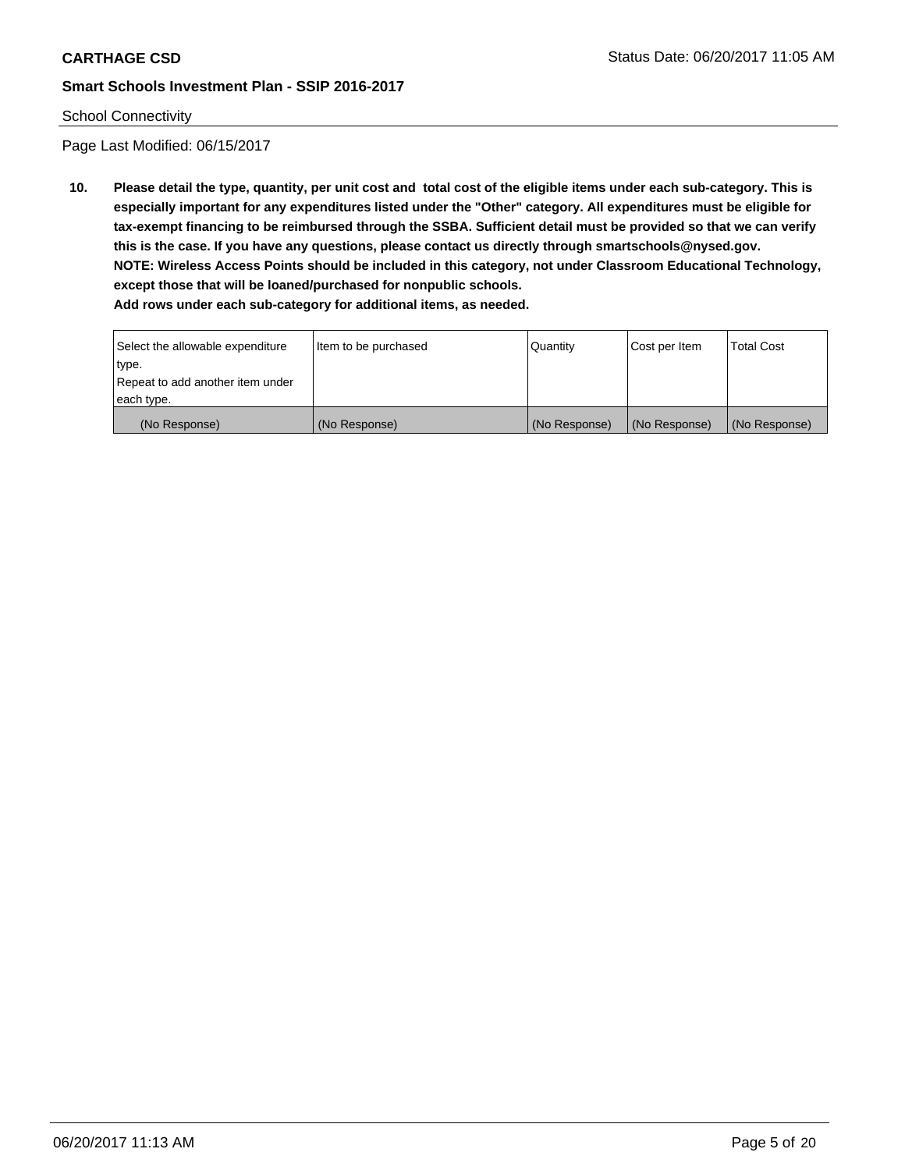### School Connectivity

Page Last Modified: 06/15/2017

**10. Please detail the type, quantity, per unit cost and total cost of the eligible items under each sub-category. This is especially important for any expenditures listed under the "Other" category. All expenditures must be eligible for tax-exempt financing to be reimbursed through the SSBA. Sufficient detail must be provided so that we can verify this is the case. If you have any questions, please contact us directly through smartschools@nysed.gov. NOTE: Wireless Access Points should be included in this category, not under Classroom Educational Technology, except those that will be loaned/purchased for nonpublic schools.**

| Select the allowable expenditure | Item to be purchased | Quantity      | Cost per Item | <b>Total Cost</b> |
|----------------------------------|----------------------|---------------|---------------|-------------------|
| type.                            |                      |               |               |                   |
| Repeat to add another item under |                      |               |               |                   |
| each type.                       |                      |               |               |                   |
| (No Response)                    | (No Response)        | (No Response) | (No Response) | (No Response)     |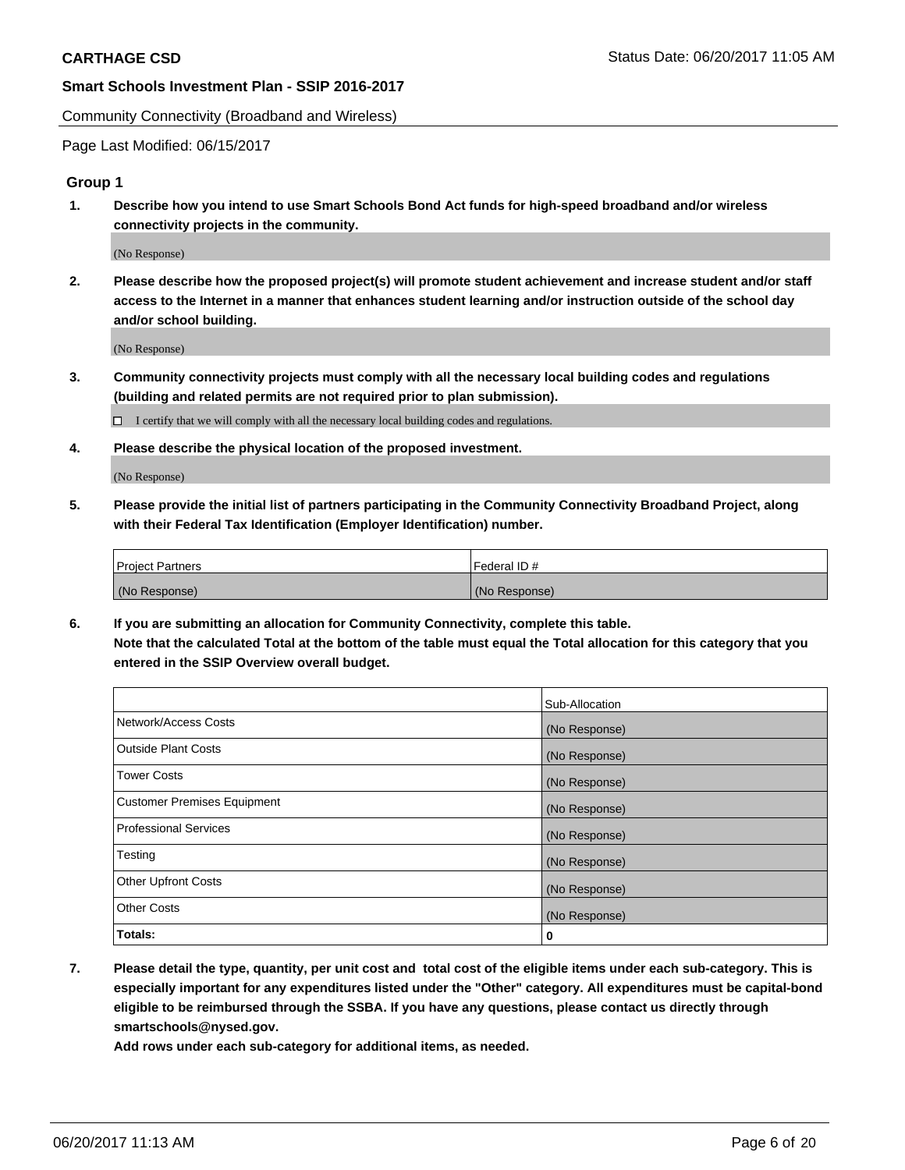Community Connectivity (Broadband and Wireless)

Page Last Modified: 06/15/2017

### **Group 1**

**1. Describe how you intend to use Smart Schools Bond Act funds for high-speed broadband and/or wireless connectivity projects in the community.**

(No Response)

**2. Please describe how the proposed project(s) will promote student achievement and increase student and/or staff access to the Internet in a manner that enhances student learning and/or instruction outside of the school day and/or school building.**

(No Response)

**3. Community connectivity projects must comply with all the necessary local building codes and regulations (building and related permits are not required prior to plan submission).**

 $\Box$  I certify that we will comply with all the necessary local building codes and regulations.

**4. Please describe the physical location of the proposed investment.**

(No Response)

**5. Please provide the initial list of partners participating in the Community Connectivity Broadband Project, along with their Federal Tax Identification (Employer Identification) number.**

| <b>Project Partners</b> | Federal ID#     |
|-------------------------|-----------------|
| (No Response)           | l (No Response) |

**6. If you are submitting an allocation for Community Connectivity, complete this table. Note that the calculated Total at the bottom of the table must equal the Total allocation for this category that you entered in the SSIP Overview overall budget.**

|                                    | Sub-Allocation |
|------------------------------------|----------------|
| Network/Access Costs               | (No Response)  |
| Outside Plant Costs                | (No Response)  |
| <b>Tower Costs</b>                 | (No Response)  |
| <b>Customer Premises Equipment</b> | (No Response)  |
| <b>Professional Services</b>       | (No Response)  |
| Testing                            | (No Response)  |
| <b>Other Upfront Costs</b>         | (No Response)  |
| <b>Other Costs</b>                 | (No Response)  |
| Totals:                            | 0              |

**7. Please detail the type, quantity, per unit cost and total cost of the eligible items under each sub-category. This is especially important for any expenditures listed under the "Other" category. All expenditures must be capital-bond eligible to be reimbursed through the SSBA. If you have any questions, please contact us directly through smartschools@nysed.gov.**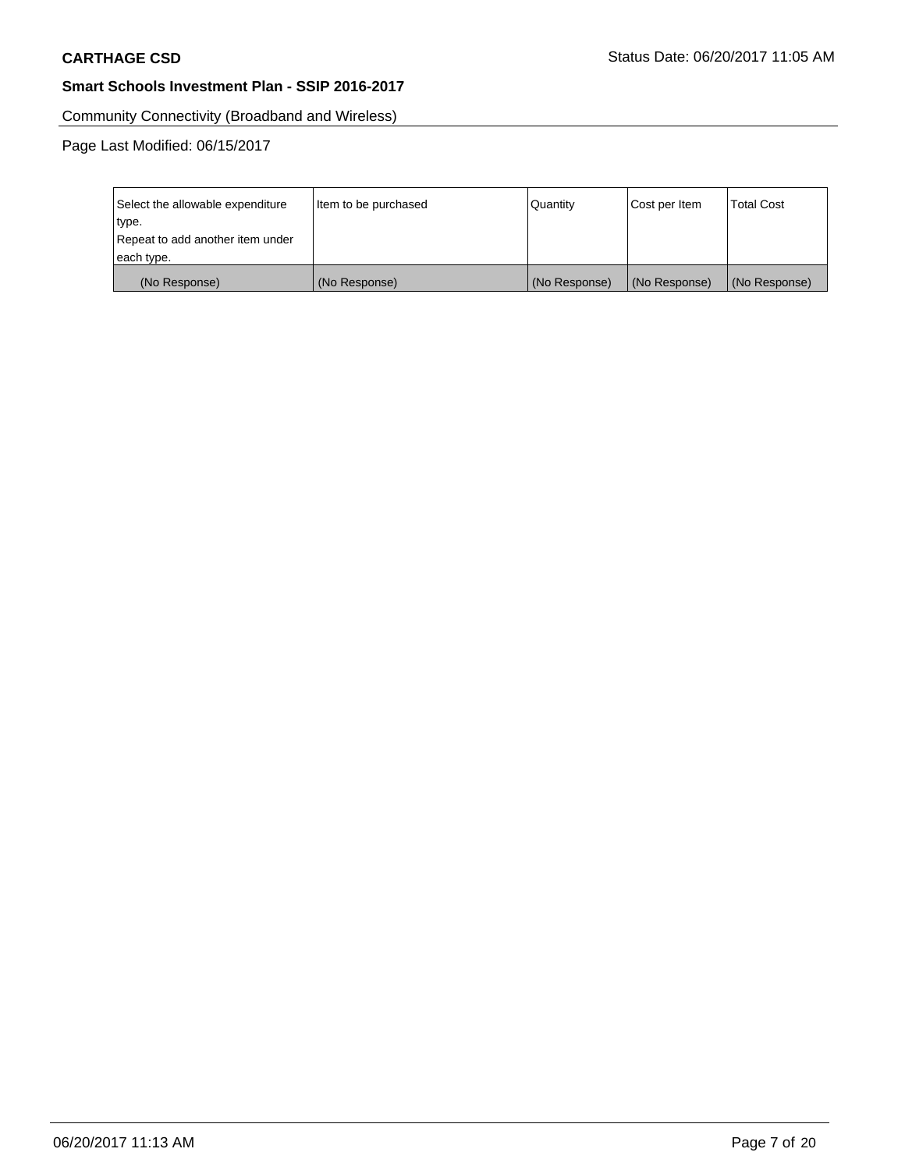Community Connectivity (Broadband and Wireless)

| Select the allowable expenditure | Item to be purchased | Quantity      | Cost per Item | <b>Total Cost</b> |
|----------------------------------|----------------------|---------------|---------------|-------------------|
| type.                            |                      |               |               |                   |
| Repeat to add another item under |                      |               |               |                   |
| each type.                       |                      |               |               |                   |
| (No Response)                    | (No Response)        | (No Response) | (No Response) | (No Response)     |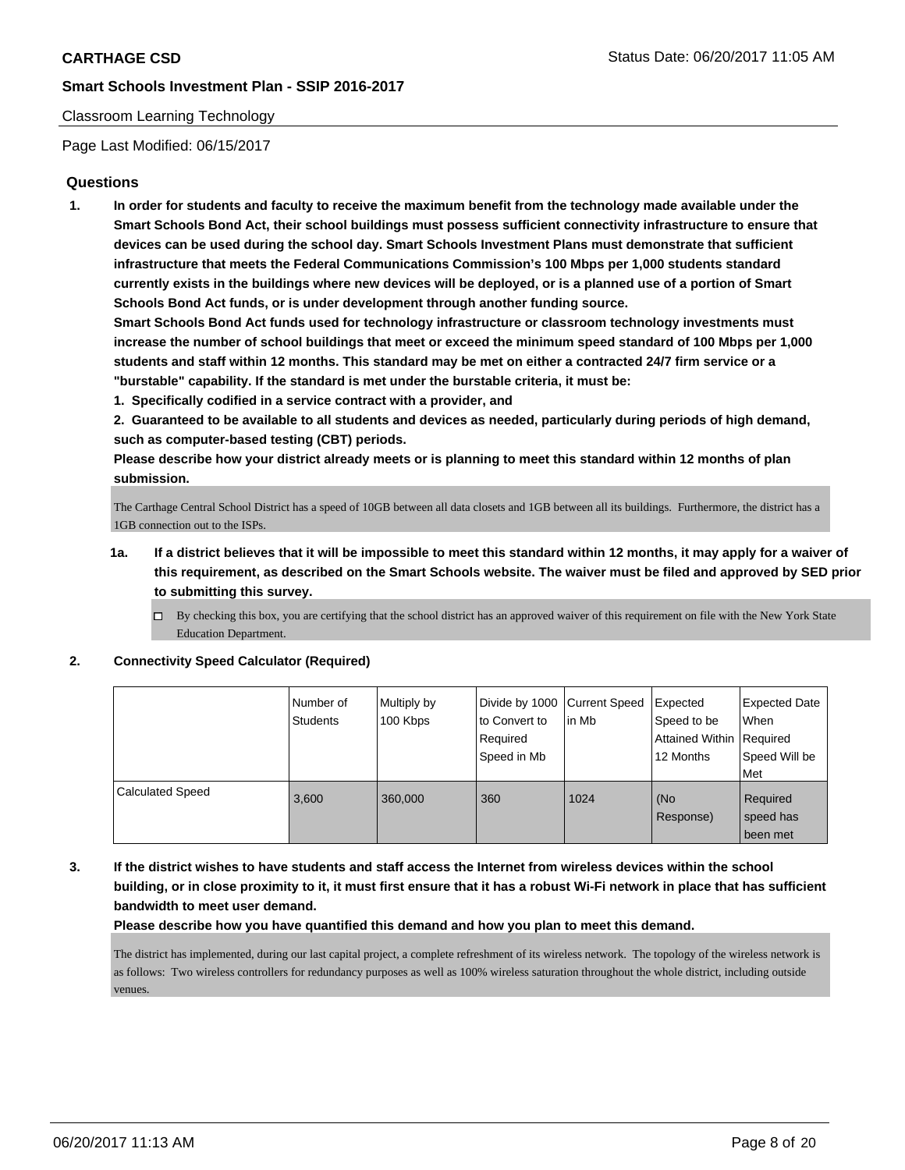#### Classroom Learning Technology

Page Last Modified: 06/15/2017

## **Questions**

**1. In order for students and faculty to receive the maximum benefit from the technology made available under the Smart Schools Bond Act, their school buildings must possess sufficient connectivity infrastructure to ensure that devices can be used during the school day. Smart Schools Investment Plans must demonstrate that sufficient infrastructure that meets the Federal Communications Commission's 100 Mbps per 1,000 students standard currently exists in the buildings where new devices will be deployed, or is a planned use of a portion of Smart Schools Bond Act funds, or is under development through another funding source.**

**Smart Schools Bond Act funds used for technology infrastructure or classroom technology investments must increase the number of school buildings that meet or exceed the minimum speed standard of 100 Mbps per 1,000 students and staff within 12 months. This standard may be met on either a contracted 24/7 firm service or a "burstable" capability. If the standard is met under the burstable criteria, it must be:**

**1. Specifically codified in a service contract with a provider, and**

**2. Guaranteed to be available to all students and devices as needed, particularly during periods of high demand, such as computer-based testing (CBT) periods.**

**Please describe how your district already meets or is planning to meet this standard within 12 months of plan submission.**

The Carthage Central School District has a speed of 10GB between all data closets and 1GB between all its buildings. Furthermore, the district has a 1GB connection out to the ISPs.

- **1a. If a district believes that it will be impossible to meet this standard within 12 months, it may apply for a waiver of this requirement, as described on the Smart Schools website. The waiver must be filed and approved by SED prior to submitting this survey.**
	- $\Box$  By checking this box, you are certifying that the school district has an approved waiver of this requirement on file with the New York State Education Department.

#### **2. Connectivity Speed Calculator (Required)**

|                         | l Number of<br>Students | Multiply by<br>100 Kbps | Divide by 1000 Current Speed<br>to Convert to<br>Required<br>Speed in Mb | in Mb | Expected<br>Speed to be<br>Attained Within Required<br>12 Months | Expected Date<br>When<br>Speed Will be   |
|-------------------------|-------------------------|-------------------------|--------------------------------------------------------------------------|-------|------------------------------------------------------------------|------------------------------------------|
| <b>Calculated Speed</b> | 3,600                   | 360,000                 | 360                                                                      | 1024  | (No<br>Response)                                                 | Met<br>Required<br>speed has<br>been met |

**3. If the district wishes to have students and staff access the Internet from wireless devices within the school building, or in close proximity to it, it must first ensure that it has a robust Wi-Fi network in place that has sufficient bandwidth to meet user demand.**

**Please describe how you have quantified this demand and how you plan to meet this demand.**

The district has implemented, during our last capital project, a complete refreshment of its wireless network. The topology of the wireless network is as follows: Two wireless controllers for redundancy purposes as well as 100% wireless saturation throughout the whole district, including outside venues.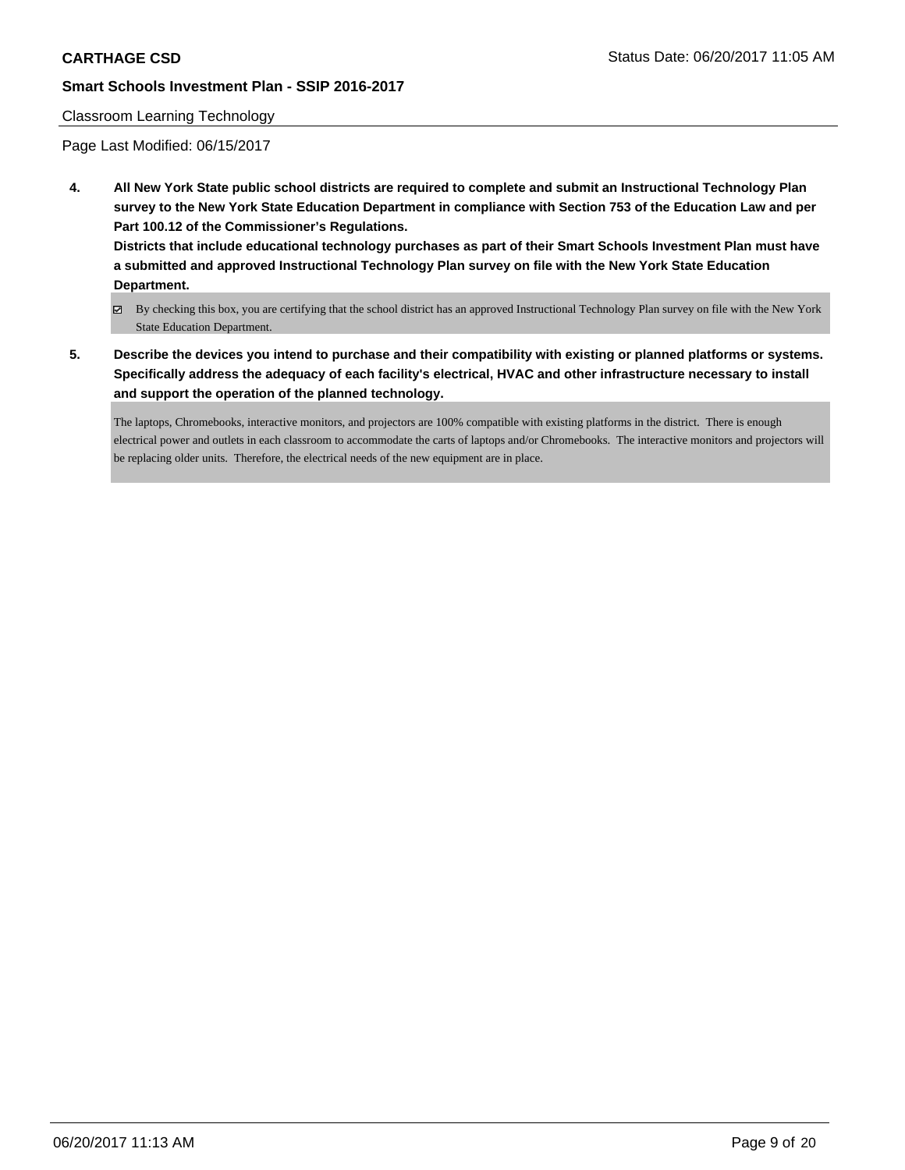#### Classroom Learning Technology

Page Last Modified: 06/15/2017

**4. All New York State public school districts are required to complete and submit an Instructional Technology Plan survey to the New York State Education Department in compliance with Section 753 of the Education Law and per Part 100.12 of the Commissioner's Regulations.**

**Districts that include educational technology purchases as part of their Smart Schools Investment Plan must have a submitted and approved Instructional Technology Plan survey on file with the New York State Education Department.**

- By checking this box, you are certifying that the school district has an approved Instructional Technology Plan survey on file with the New York State Education Department.
- **5. Describe the devices you intend to purchase and their compatibility with existing or planned platforms or systems. Specifically address the adequacy of each facility's electrical, HVAC and other infrastructure necessary to install and support the operation of the planned technology.**

The laptops, Chromebooks, interactive monitors, and projectors are 100% compatible with existing platforms in the district. There is enough electrical power and outlets in each classroom to accommodate the carts of laptops and/or Chromebooks. The interactive monitors and projectors will be replacing older units. Therefore, the electrical needs of the new equipment are in place.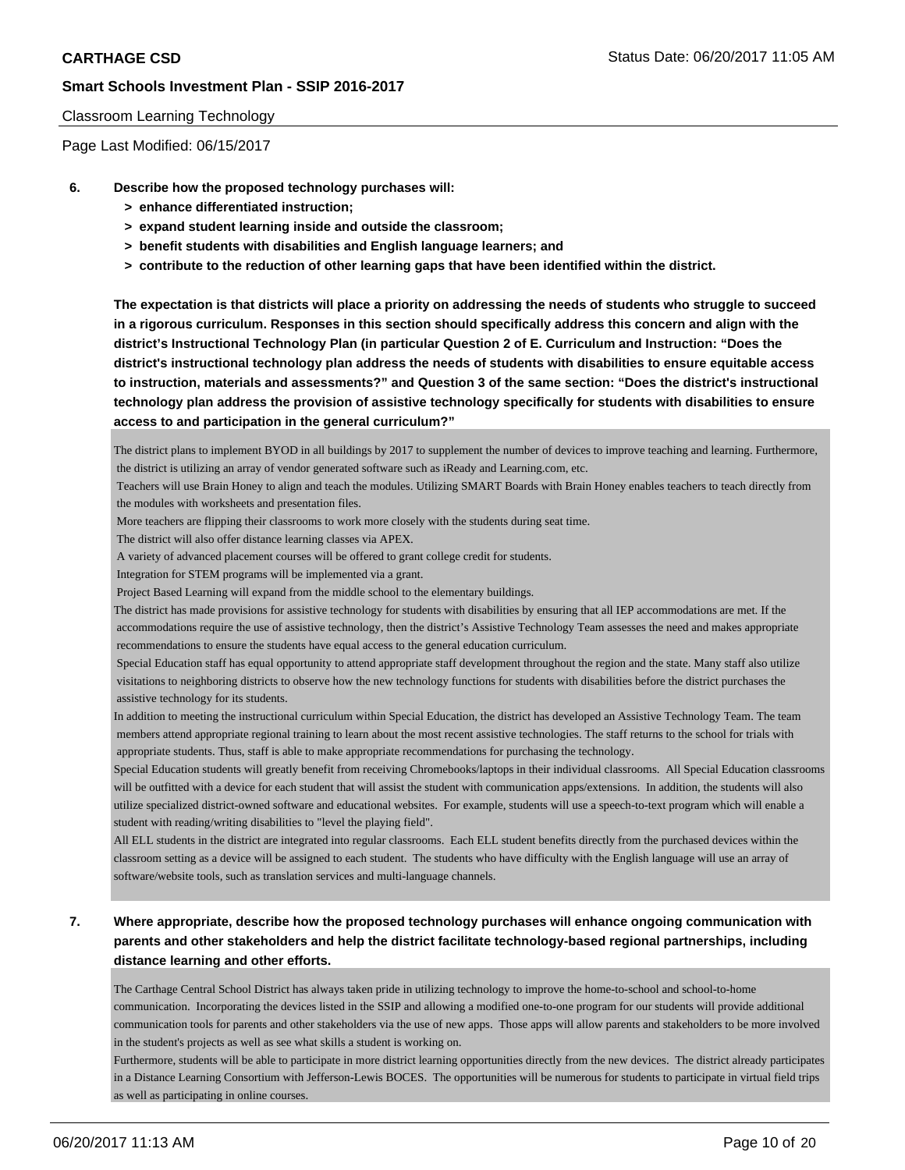#### Classroom Learning Technology

Page Last Modified: 06/15/2017

- **6. Describe how the proposed technology purchases will:**
	- **> enhance differentiated instruction;**
	- **> expand student learning inside and outside the classroom;**
	- **> benefit students with disabilities and English language learners; and**
	- **> contribute to the reduction of other learning gaps that have been identified within the district.**

**The expectation is that districts will place a priority on addressing the needs of students who struggle to succeed in a rigorous curriculum. Responses in this section should specifically address this concern and align with the district's Instructional Technology Plan (in particular Question 2 of E. Curriculum and Instruction: "Does the district's instructional technology plan address the needs of students with disabilities to ensure equitable access to instruction, materials and assessments?" and Question 3 of the same section: "Does the district's instructional technology plan address the provision of assistive technology specifically for students with disabilities to ensure access to and participation in the general curriculum?"**

The district plans to implement BYOD in all buildings by 2017 to supplement the number of devices to improve teaching and learning. Furthermore, the district is utilizing an array of vendor generated software such as iReady and Learning.com, etc.

 Teachers will use Brain Honey to align and teach the modules. Utilizing SMART Boards with Brain Honey enables teachers to teach directly from the modules with worksheets and presentation files.

- More teachers are flipping their classrooms to work more closely with the students during seat time.
- The district will also offer distance learning classes via APEX.
- A variety of advanced placement courses will be offered to grant college credit for students.

Integration for STEM programs will be implemented via a grant.

Project Based Learning will expand from the middle school to the elementary buildings.

The district has made provisions for assistive technology for students with disabilities by ensuring that all IEP accommodations are met. If the accommodations require the use of assistive technology, then the district's Assistive Technology Team assesses the need and makes appropriate recommendations to ensure the students have equal access to the general education curriculum.

 Special Education staff has equal opportunity to attend appropriate staff development throughout the region and the state. Many staff also utilize visitations to neighboring districts to observe how the new technology functions for students with disabilities before the district purchases the assistive technology for its students.

In addition to meeting the instructional curriculum within Special Education, the district has developed an Assistive Technology Team. The team members attend appropriate regional training to learn about the most recent assistive technologies. The staff returns to the school for trials with appropriate students. Thus, staff is able to make appropriate recommendations for purchasing the technology.

Special Education students will greatly benefit from receiving Chromebooks/laptops in their individual classrooms. All Special Education classrooms will be outfitted with a device for each student that will assist the student with communication apps/extensions. In addition, the students will also utilize specialized district-owned software and educational websites. For example, students will use a speech-to-text program which will enable a student with reading/writing disabilities to "level the playing field".

All ELL students in the district are integrated into regular classrooms. Each ELL student benefits directly from the purchased devices within the classroom setting as a device will be assigned to each student. The students who have difficulty with the English language will use an array of software/website tools, such as translation services and multi-language channels.

# **7. Where appropriate, describe how the proposed technology purchases will enhance ongoing communication with parents and other stakeholders and help the district facilitate technology-based regional partnerships, including distance learning and other efforts.**

The Carthage Central School District has always taken pride in utilizing technology to improve the home-to-school and school-to-home communication. Incorporating the devices listed in the SSIP and allowing a modified one-to-one program for our students will provide additional communication tools for parents and other stakeholders via the use of new apps. Those apps will allow parents and stakeholders to be more involved in the student's projects as well as see what skills a student is working on.

Furthermore, students will be able to participate in more district learning opportunities directly from the new devices. The district already participates in a Distance Learning Consortium with Jefferson-Lewis BOCES. The opportunities will be numerous for students to participate in virtual field trips as well as participating in online courses.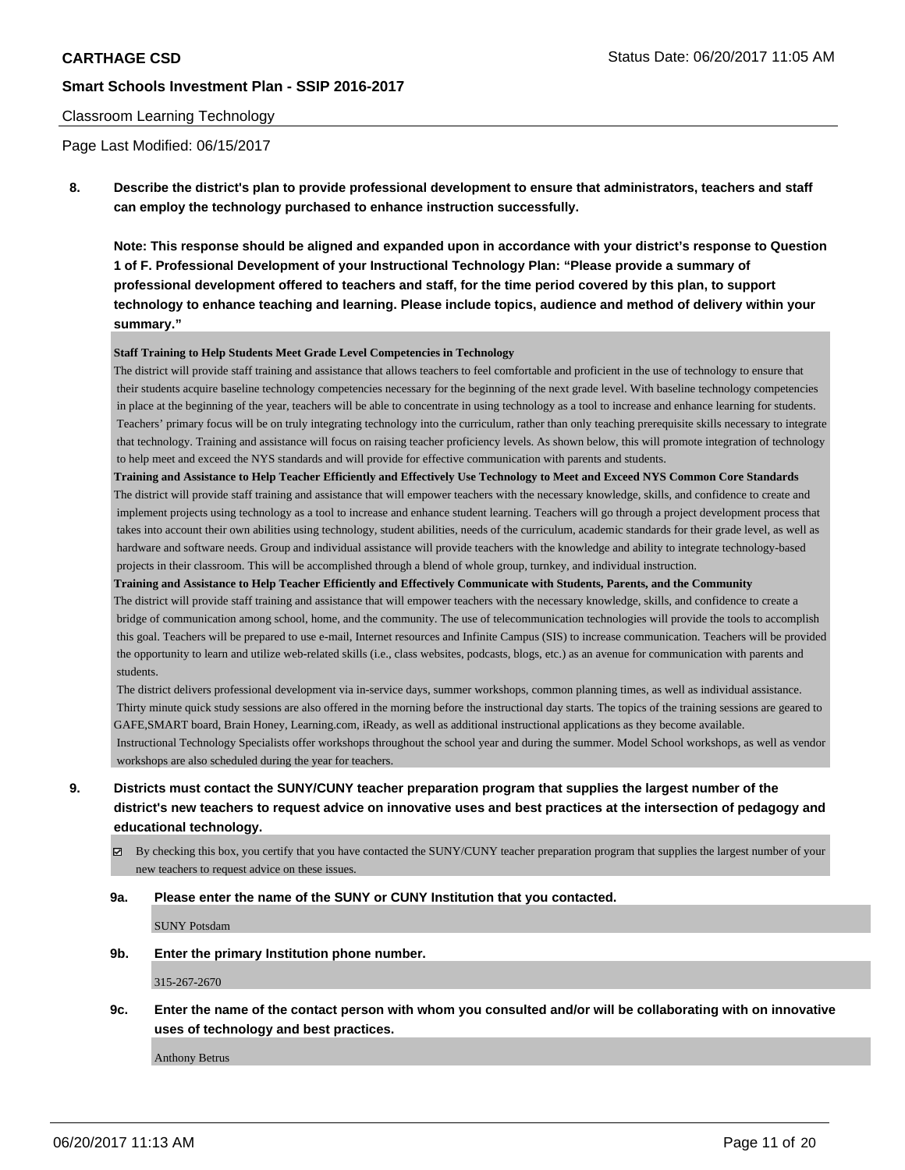#### Classroom Learning Technology

Page Last Modified: 06/15/2017

**8. Describe the district's plan to provide professional development to ensure that administrators, teachers and staff can employ the technology purchased to enhance instruction successfully.**

**Note: This response should be aligned and expanded upon in accordance with your district's response to Question 1 of F. Professional Development of your Instructional Technology Plan: "Please provide a summary of professional development offered to teachers and staff, for the time period covered by this plan, to support technology to enhance teaching and learning. Please include topics, audience and method of delivery within your summary."**

#### **Staff Training to Help Students Meet Grade Level Competencies in Technology**

The district will provide staff training and assistance that allows teachers to feel comfortable and proficient in the use of technology to ensure that their students acquire baseline technology competencies necessary for the beginning of the next grade level. With baseline technology competencies in place at the beginning of the year, teachers will be able to concentrate in using technology as a tool to increase and enhance learning for students. Teachers' primary focus will be on truly integrating technology into the curriculum, rather than only teaching prerequisite skills necessary to integrate that technology. Training and assistance will focus on raising teacher proficiency levels. As shown below, this will promote integration of technology to help meet and exceed the NYS standards and will provide for effective communication with parents and students.

**Training and Assistance to Help Teacher Efficiently and Effectively Use Technology to Meet and Exceed NYS Common Core Standards** The district will provide staff training and assistance that will empower teachers with the necessary knowledge, skills, and confidence to create and implement projects using technology as a tool to increase and enhance student learning. Teachers will go through a project development process that takes into account their own abilities using technology, student abilities, needs of the curriculum, academic standards for their grade level, as well as hardware and software needs. Group and individual assistance will provide teachers with the knowledge and ability to integrate technology-based projects in their classroom. This will be accomplished through a blend of whole group, turnkey, and individual instruction.

**Training and Assistance to Help Teacher Efficiently and Effectively Communicate with Students, Parents, and the Community** The district will provide staff training and assistance that will empower teachers with the necessary knowledge, skills, and confidence to create a bridge of communication among school, home, and the community. The use of telecommunication technologies will provide the tools to accomplish this goal. Teachers will be prepared to use e-mail, Internet resources and Infinite Campus (SIS) to increase communication. Teachers will be provided the opportunity to learn and utilize web-related skills (i.e., class websites, podcasts, blogs, etc.) as an avenue for communication with parents and students.

 The district delivers professional development via in-service days, summer workshops, common planning times, as well as individual assistance. Thirty minute quick study sessions are also offered in the morning before the instructional day starts. The topics of the training sessions are geared to GAFE,SMART board, Brain Honey, Learning.com, iReady, as well as additional instructional applications as they become available. Instructional Technology Specialists offer workshops throughout the school year and during the summer. Model School workshops, as well as vendor workshops are also scheduled during the year for teachers.

- **9. Districts must contact the SUNY/CUNY teacher preparation program that supplies the largest number of the district's new teachers to request advice on innovative uses and best practices at the intersection of pedagogy and educational technology.**
	- $\boxtimes$  By checking this box, you certify that you have contacted the SUNY/CUNY teacher preparation program that supplies the largest number of your new teachers to request advice on these issues.

#### **9a. Please enter the name of the SUNY or CUNY Institution that you contacted.**

SUNY Potsdam

**9b. Enter the primary Institution phone number.**

315-267-2670

**9c. Enter the name of the contact person with whom you consulted and/or will be collaborating with on innovative uses of technology and best practices.**

Anthony Betrus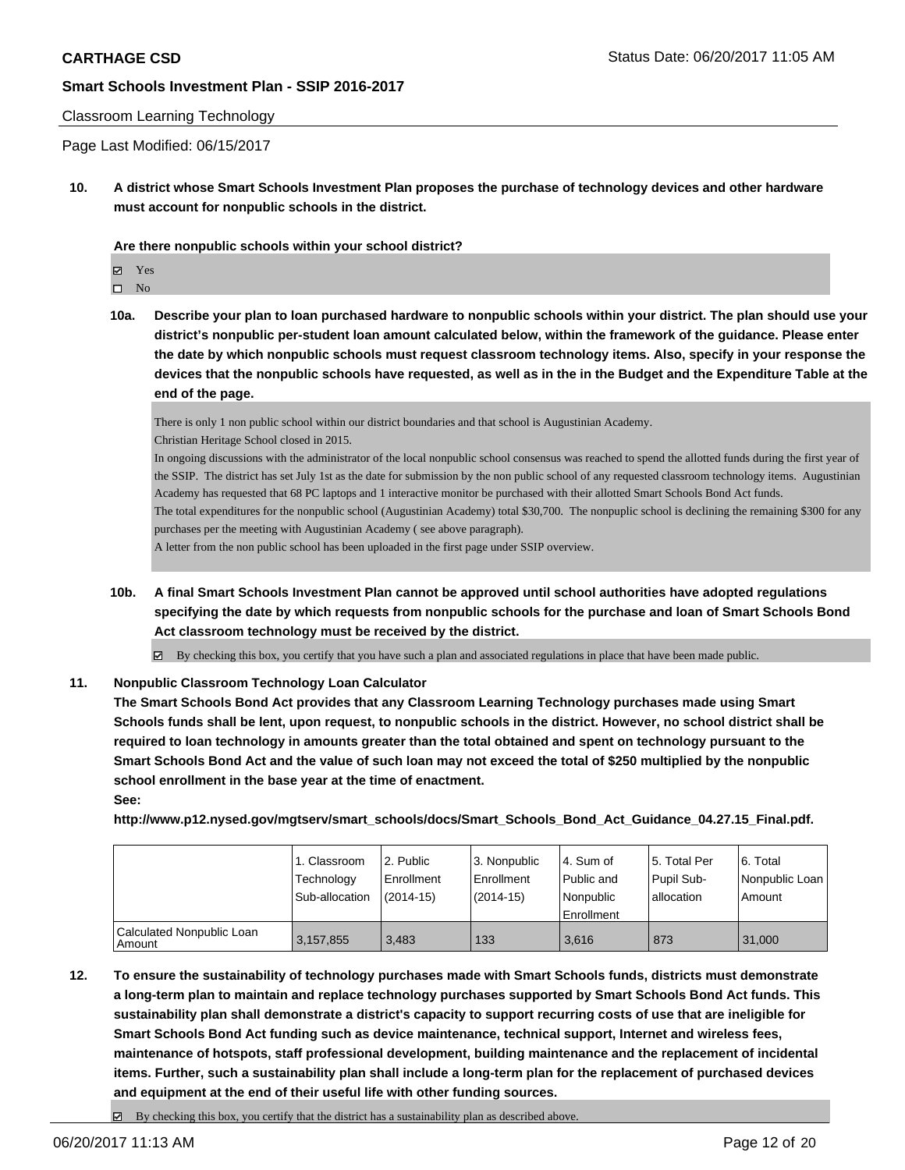#### Classroom Learning Technology

Page Last Modified: 06/15/2017

**10. A district whose Smart Schools Investment Plan proposes the purchase of technology devices and other hardware must account for nonpublic schools in the district.**

**Are there nonpublic schools within your school district?**

Yes

 $\hfill \square$  No

**10a. Describe your plan to loan purchased hardware to nonpublic schools within your district. The plan should use your district's nonpublic per-student loan amount calculated below, within the framework of the guidance. Please enter the date by which nonpublic schools must request classroom technology items. Also, specify in your response the devices that the nonpublic schools have requested, as well as in the in the Budget and the Expenditure Table at the end of the page.**

There is only 1 non public school within our district boundaries and that school is Augustinian Academy.

Christian Heritage School closed in 2015.

In ongoing discussions with the administrator of the local nonpublic school consensus was reached to spend the allotted funds during the first year of the SSIP. The district has set July 1st as the date for submission by the non public school of any requested classroom technology items. Augustinian Academy has requested that 68 PC laptops and 1 interactive monitor be purchased with their allotted Smart Schools Bond Act funds.

The total expenditures for the nonpublic school (Augustinian Academy) total \$30,700. The nonpuplic school is declining the remaining \$300 for any purchases per the meeting with Augustinian Academy ( see above paragraph).

A letter from the non public school has been uploaded in the first page under SSIP overview.

**10b. A final Smart Schools Investment Plan cannot be approved until school authorities have adopted regulations specifying the date by which requests from nonpublic schools for the purchase and loan of Smart Schools Bond Act classroom technology must be received by the district.**

 $\boxtimes$  By checking this box, you certify that you have such a plan and associated regulations in place that have been made public.

## **11. Nonpublic Classroom Technology Loan Calculator**

**The Smart Schools Bond Act provides that any Classroom Learning Technology purchases made using Smart Schools funds shall be lent, upon request, to nonpublic schools in the district. However, no school district shall be required to loan technology in amounts greater than the total obtained and spent on technology pursuant to the Smart Schools Bond Act and the value of such loan may not exceed the total of \$250 multiplied by the nonpublic school enrollment in the base year at the time of enactment.**

**See:**

**http://www.p12.nysed.gov/mgtserv/smart\_schools/docs/Smart\_Schools\_Bond\_Act\_Guidance\_04.27.15\_Final.pdf.**

|                                       | 1. Classroom<br>Technology<br>Sub-allocation | l 2. Public<br>Enrollment<br>$(2014-15)$ | 3. Nonpublic<br>l Enrollment<br>$(2014 - 15)$ | l 4. Sum of<br>Public and<br>l Nonpublic<br>Enrollment | l 5. Total Per<br>Pupil Sub-<br>allocation | l 6. Total<br>Nonpublic Loan<br>Amount |
|---------------------------------------|----------------------------------------------|------------------------------------------|-----------------------------------------------|--------------------------------------------------------|--------------------------------------------|----------------------------------------|
| Calculated Nonpublic Loan<br>l Amount | 3,157,855                                    | 3.483                                    | 133                                           | 3.616                                                  | 873                                        | 31,000                                 |

- **12. To ensure the sustainability of technology purchases made with Smart Schools funds, districts must demonstrate a long-term plan to maintain and replace technology purchases supported by Smart Schools Bond Act funds. This sustainability plan shall demonstrate a district's capacity to support recurring costs of use that are ineligible for Smart Schools Bond Act funding such as device maintenance, technical support, Internet and wireless fees, maintenance of hotspots, staff professional development, building maintenance and the replacement of incidental items. Further, such a sustainability plan shall include a long-term plan for the replacement of purchased devices and equipment at the end of their useful life with other funding sources.**
	- $\boxtimes$  By checking this box, you certify that the district has a sustainability plan as described above.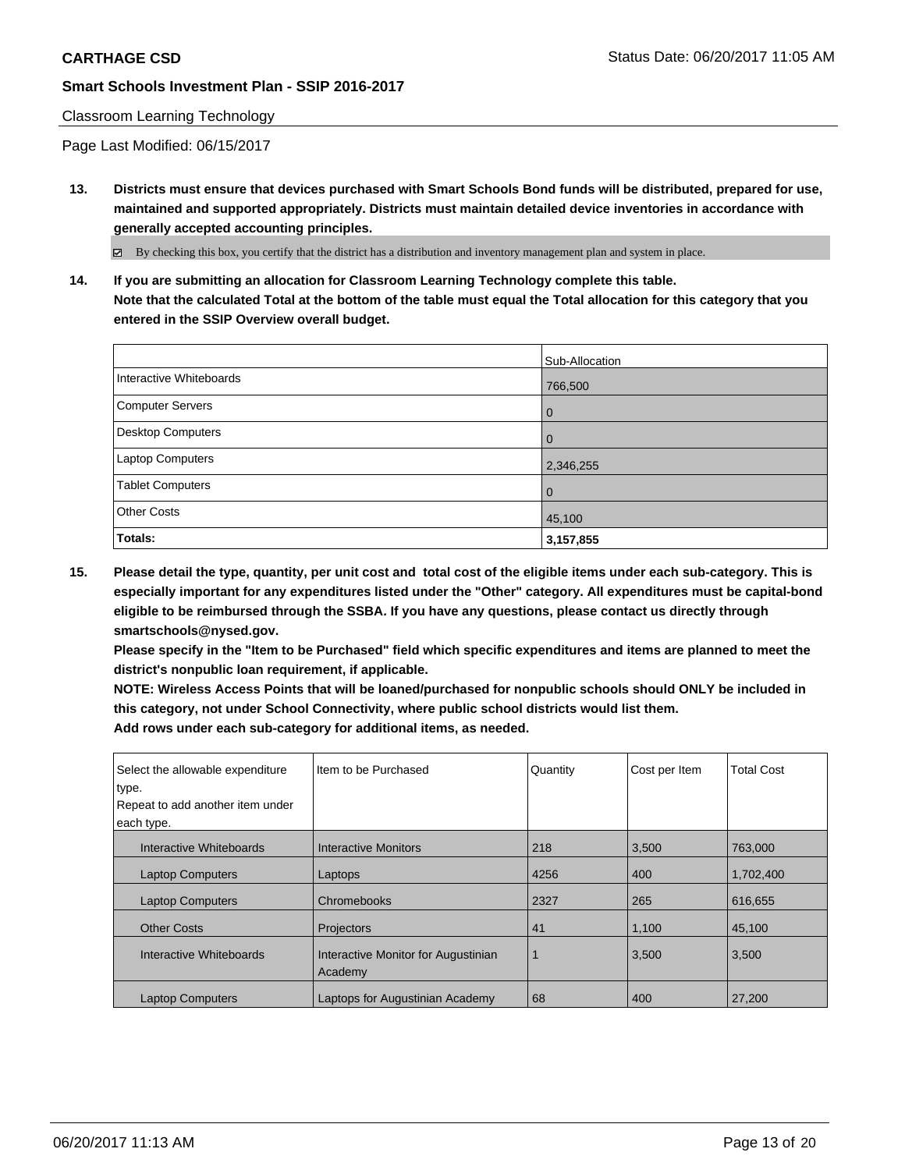#### Classroom Learning Technology

Page Last Modified: 06/15/2017

**13. Districts must ensure that devices purchased with Smart Schools Bond funds will be distributed, prepared for use, maintained and supported appropriately. Districts must maintain detailed device inventories in accordance with generally accepted accounting principles.**

By checking this box, you certify that the district has a distribution and inventory management plan and system in place.

**14. If you are submitting an allocation for Classroom Learning Technology complete this table. Note that the calculated Total at the bottom of the table must equal the Total allocation for this category that you entered in the SSIP Overview overall budget.**

|                         | Sub-Allocation |
|-------------------------|----------------|
| Interactive Whiteboards | 766,500        |
| Computer Servers        | 0              |
| Desktop Computers       | l 0            |
| Laptop Computers        | 2,346,255      |
| <b>Tablet Computers</b> | l 0            |
| <b>Other Costs</b>      | 45,100         |
| Totals:                 | 3,157,855      |

**15. Please detail the type, quantity, per unit cost and total cost of the eligible items under each sub-category. This is especially important for any expenditures listed under the "Other" category. All expenditures must be capital-bond eligible to be reimbursed through the SSBA. If you have any questions, please contact us directly through smartschools@nysed.gov.**

**Please specify in the "Item to be Purchased" field which specific expenditures and items are planned to meet the district's nonpublic loan requirement, if applicable.**

**NOTE: Wireless Access Points that will be loaned/purchased for nonpublic schools should ONLY be included in this category, not under School Connectivity, where public school districts would list them. Add rows under each sub-category for additional items, as needed.**

| Select the allowable expenditure | Iltem to be Purchased                          | Quantity | Cost per Item | <b>Total Cost</b> |
|----------------------------------|------------------------------------------------|----------|---------------|-------------------|
| type.                            |                                                |          |               |                   |
| Repeat to add another item under |                                                |          |               |                   |
| each type.                       |                                                |          |               |                   |
| Interactive Whiteboards          | <b>Interactive Monitors</b>                    | 218      | 3,500         | 763,000           |
| <b>Laptop Computers</b>          | Laptops                                        | 4256     | 400           | 1,702,400         |
| <b>Laptop Computers</b>          | Chromebooks                                    | 2327     | 265           | 616,655           |
| <b>Other Costs</b>               | Projectors                                     | 41       | 1,100         | 45.100            |
| Interactive Whiteboards          | Interactive Monitor for Augustinian<br>Academy |          | 3,500         | 3,500             |
| <b>Laptop Computers</b>          | Laptops for Augustinian Academy                | 68       | 400           | 27,200            |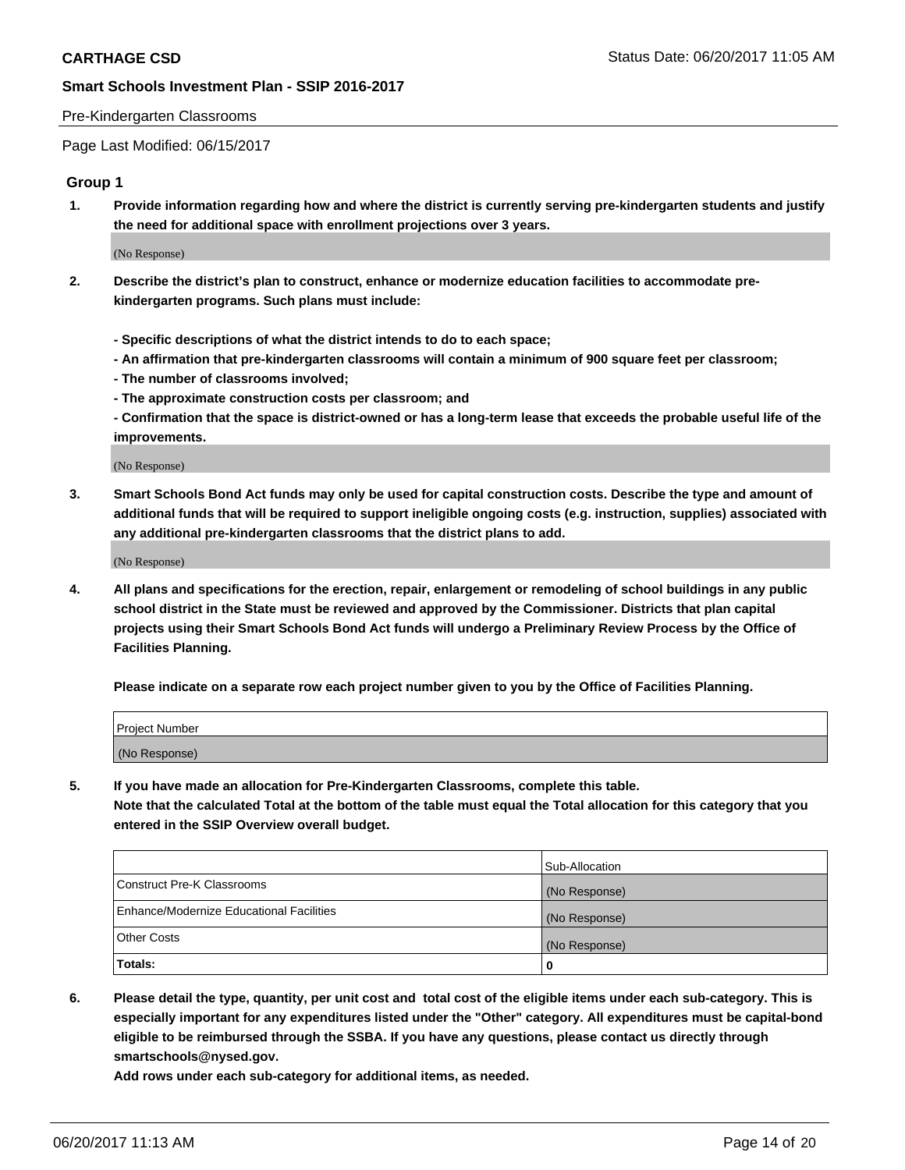#### Pre-Kindergarten Classrooms

Page Last Modified: 06/15/2017

### **Group 1**

**1. Provide information regarding how and where the district is currently serving pre-kindergarten students and justify the need for additional space with enrollment projections over 3 years.**

(No Response)

- **2. Describe the district's plan to construct, enhance or modernize education facilities to accommodate prekindergarten programs. Such plans must include:**
	- **Specific descriptions of what the district intends to do to each space;**
	- **An affirmation that pre-kindergarten classrooms will contain a minimum of 900 square feet per classroom;**
	- **The number of classrooms involved;**
	- **The approximate construction costs per classroom; and**
	- **Confirmation that the space is district-owned or has a long-term lease that exceeds the probable useful life of the improvements.**

(No Response)

**3. Smart Schools Bond Act funds may only be used for capital construction costs. Describe the type and amount of additional funds that will be required to support ineligible ongoing costs (e.g. instruction, supplies) associated with any additional pre-kindergarten classrooms that the district plans to add.**

(No Response)

**4. All plans and specifications for the erection, repair, enlargement or remodeling of school buildings in any public school district in the State must be reviewed and approved by the Commissioner. Districts that plan capital projects using their Smart Schools Bond Act funds will undergo a Preliminary Review Process by the Office of Facilities Planning.**

**Please indicate on a separate row each project number given to you by the Office of Facilities Planning.**

| Project Number |  |
|----------------|--|
| (No Response)  |  |

**5. If you have made an allocation for Pre-Kindergarten Classrooms, complete this table. Note that the calculated Total at the bottom of the table must equal the Total allocation for this category that you entered in the SSIP Overview overall budget.**

| Totals:                                  | 0              |
|------------------------------------------|----------------|
| Other Costs                              | (No Response)  |
| Enhance/Modernize Educational Facilities | (No Response)  |
| Construct Pre-K Classrooms               | (No Response)  |
|                                          | Sub-Allocation |

**6. Please detail the type, quantity, per unit cost and total cost of the eligible items under each sub-category. This is especially important for any expenditures listed under the "Other" category. All expenditures must be capital-bond eligible to be reimbursed through the SSBA. If you have any questions, please contact us directly through smartschools@nysed.gov.**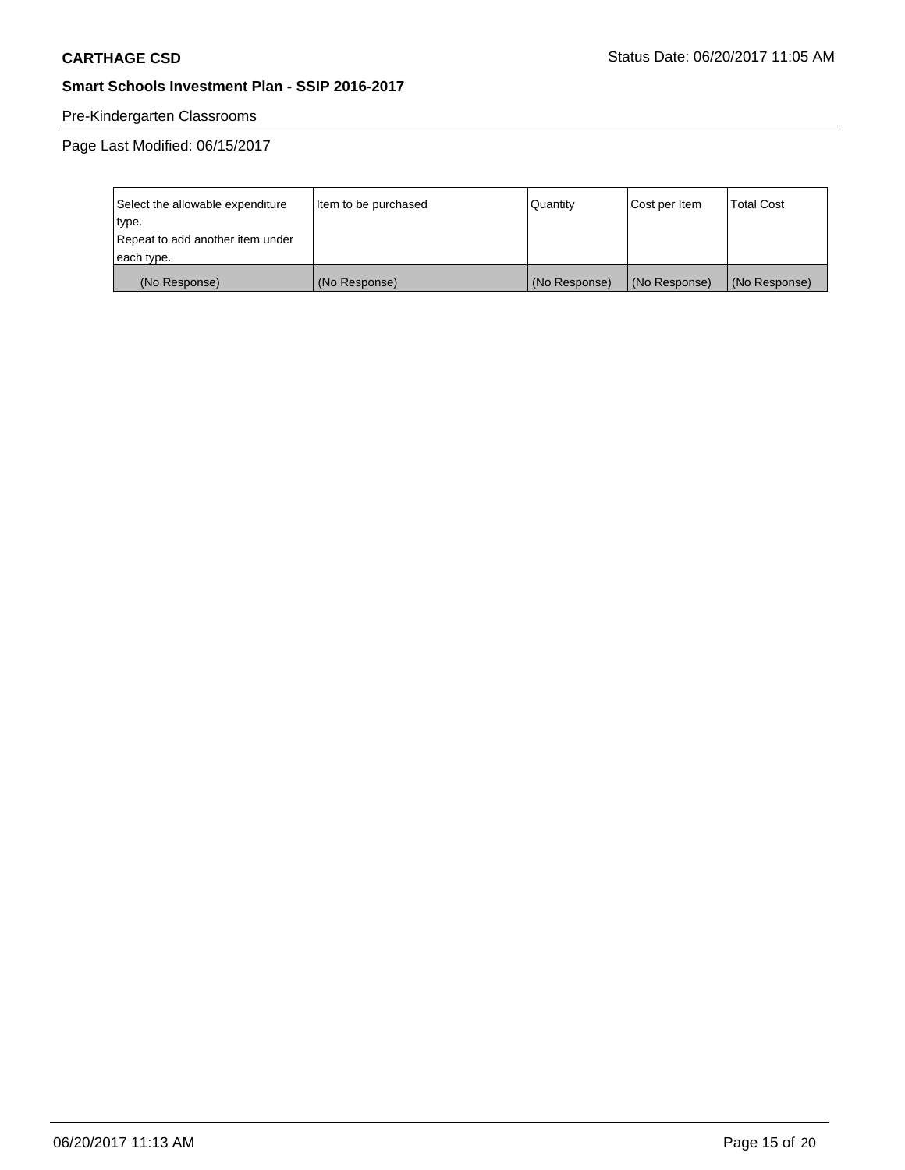# Pre-Kindergarten Classrooms

| Select the allowable expenditure | Item to be purchased | Quantity      | Cost per Item | <b>Total Cost</b> |
|----------------------------------|----------------------|---------------|---------------|-------------------|
| type.                            |                      |               |               |                   |
| Repeat to add another item under |                      |               |               |                   |
| each type.                       |                      |               |               |                   |
| (No Response)                    | (No Response)        | (No Response) | (No Response) | (No Response)     |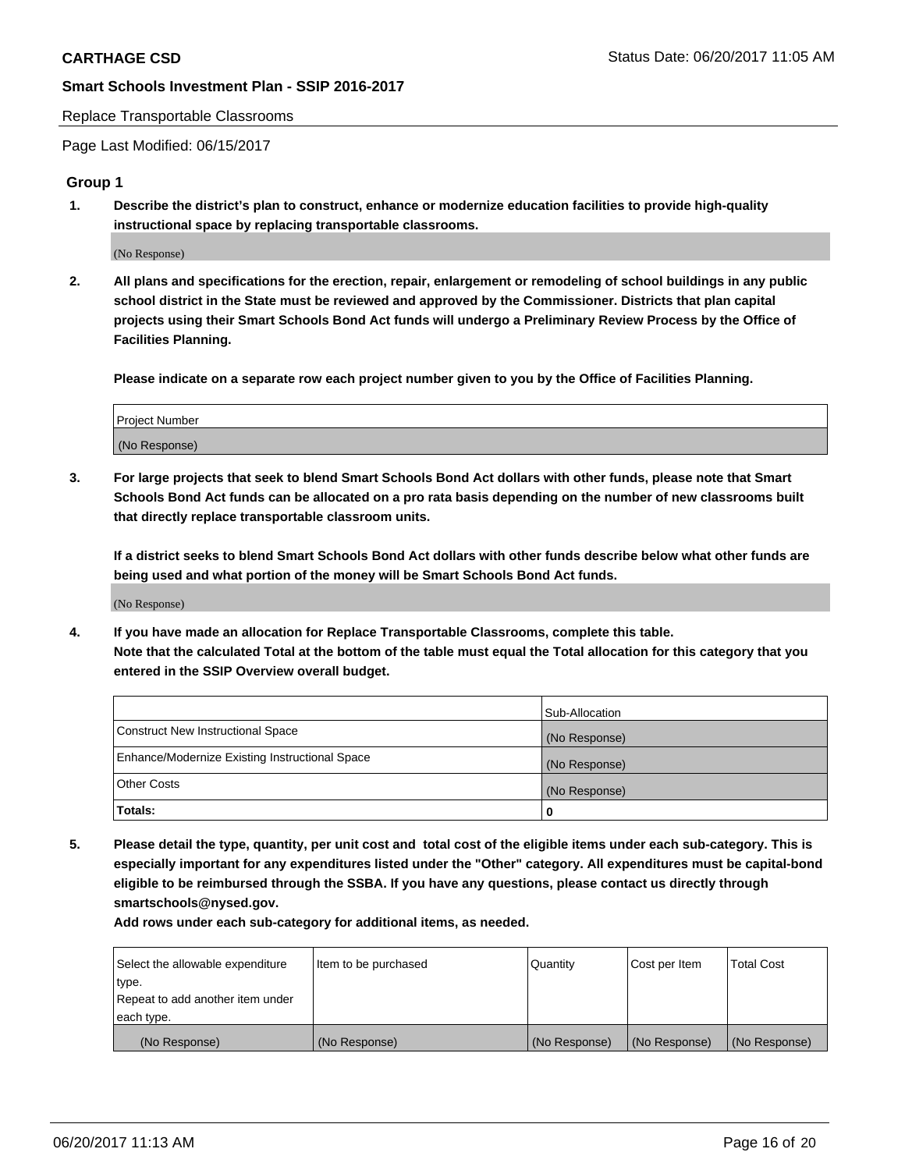#### Replace Transportable Classrooms

Page Last Modified: 06/15/2017

### **Group 1**

**1. Describe the district's plan to construct, enhance or modernize education facilities to provide high-quality instructional space by replacing transportable classrooms.**

(No Response)

**2. All plans and specifications for the erection, repair, enlargement or remodeling of school buildings in any public school district in the State must be reviewed and approved by the Commissioner. Districts that plan capital projects using their Smart Schools Bond Act funds will undergo a Preliminary Review Process by the Office of Facilities Planning.**

**Please indicate on a separate row each project number given to you by the Office of Facilities Planning.**

| Project Number |  |
|----------------|--|
| (No Response)  |  |

**3. For large projects that seek to blend Smart Schools Bond Act dollars with other funds, please note that Smart Schools Bond Act funds can be allocated on a pro rata basis depending on the number of new classrooms built that directly replace transportable classroom units.**

**If a district seeks to blend Smart Schools Bond Act dollars with other funds describe below what other funds are being used and what portion of the money will be Smart Schools Bond Act funds.**

(No Response)

**4. If you have made an allocation for Replace Transportable Classrooms, complete this table. Note that the calculated Total at the bottom of the table must equal the Total allocation for this category that you entered in the SSIP Overview overall budget.**

|                                                | Sub-Allocation |
|------------------------------------------------|----------------|
| Construct New Instructional Space              | (No Response)  |
| Enhance/Modernize Existing Instructional Space | (No Response)  |
| Other Costs                                    | (No Response)  |
| Totals:                                        |                |

**5. Please detail the type, quantity, per unit cost and total cost of the eligible items under each sub-category. This is especially important for any expenditures listed under the "Other" category. All expenditures must be capital-bond eligible to be reimbursed through the SSBA. If you have any questions, please contact us directly through smartschools@nysed.gov.**

| Select the allowable expenditure | Item to be purchased | Quantity      | Cost per Item | <b>Total Cost</b> |
|----------------------------------|----------------------|---------------|---------------|-------------------|
| type.                            |                      |               |               |                   |
| Repeat to add another item under |                      |               |               |                   |
| each type.                       |                      |               |               |                   |
| (No Response)                    | (No Response)        | (No Response) | (No Response) | (No Response)     |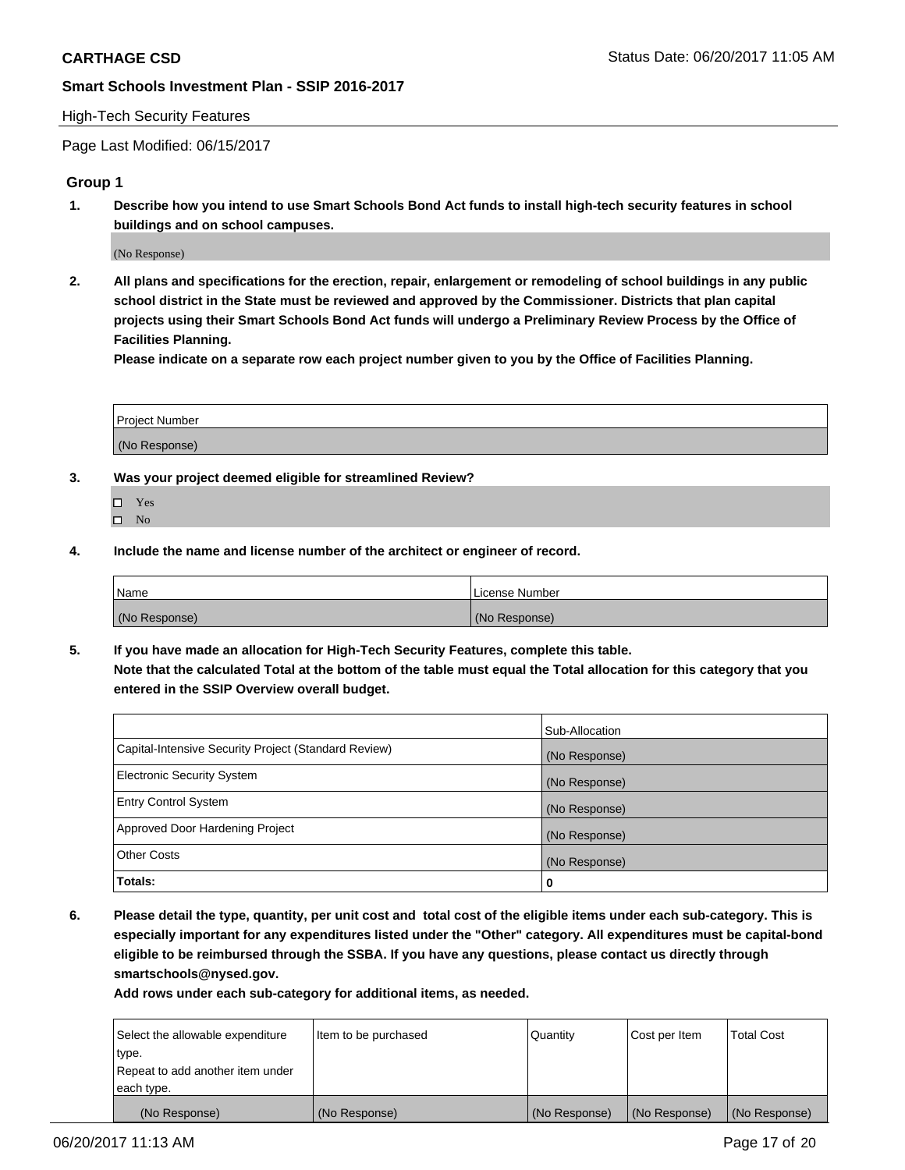#### High-Tech Security Features

Page Last Modified: 06/15/2017

## **Group 1**

**1. Describe how you intend to use Smart Schools Bond Act funds to install high-tech security features in school buildings and on school campuses.**

(No Response)

**2. All plans and specifications for the erection, repair, enlargement or remodeling of school buildings in any public school district in the State must be reviewed and approved by the Commissioner. Districts that plan capital projects using their Smart Schools Bond Act funds will undergo a Preliminary Review Process by the Office of Facilities Planning.** 

**Please indicate on a separate row each project number given to you by the Office of Facilities Planning.**

| Project Number |  |
|----------------|--|
|                |  |
| (No Response)  |  |

- **3. Was your project deemed eligible for streamlined Review?**
	- Yes  $\hfill \square$  No
- **4. Include the name and license number of the architect or engineer of record.**

| Name          | License Number |
|---------------|----------------|
| (No Response) | (No Response)  |

**5. If you have made an allocation for High-Tech Security Features, complete this table. Note that the calculated Total at the bottom of the table must equal the Total allocation for this category that you entered in the SSIP Overview overall budget.**

|                                                      | Sub-Allocation |
|------------------------------------------------------|----------------|
| Capital-Intensive Security Project (Standard Review) | (No Response)  |
| Electronic Security System                           | (No Response)  |
| <b>Entry Control System</b>                          | (No Response)  |
| Approved Door Hardening Project                      | (No Response)  |
| <b>Other Costs</b>                                   | (No Response)  |
| Totals:                                              | 0              |

**6. Please detail the type, quantity, per unit cost and total cost of the eligible items under each sub-category. This is especially important for any expenditures listed under the "Other" category. All expenditures must be capital-bond eligible to be reimbursed through the SSBA. If you have any questions, please contact us directly through smartschools@nysed.gov.**

| Select the allowable expenditure | Item to be purchased | Quantity      | Cost per Item | <b>Total Cost</b> |
|----------------------------------|----------------------|---------------|---------------|-------------------|
| type.                            |                      |               |               |                   |
| Repeat to add another item under |                      |               |               |                   |
| each type.                       |                      |               |               |                   |
| (No Response)                    | (No Response)        | (No Response) | (No Response) | (No Response)     |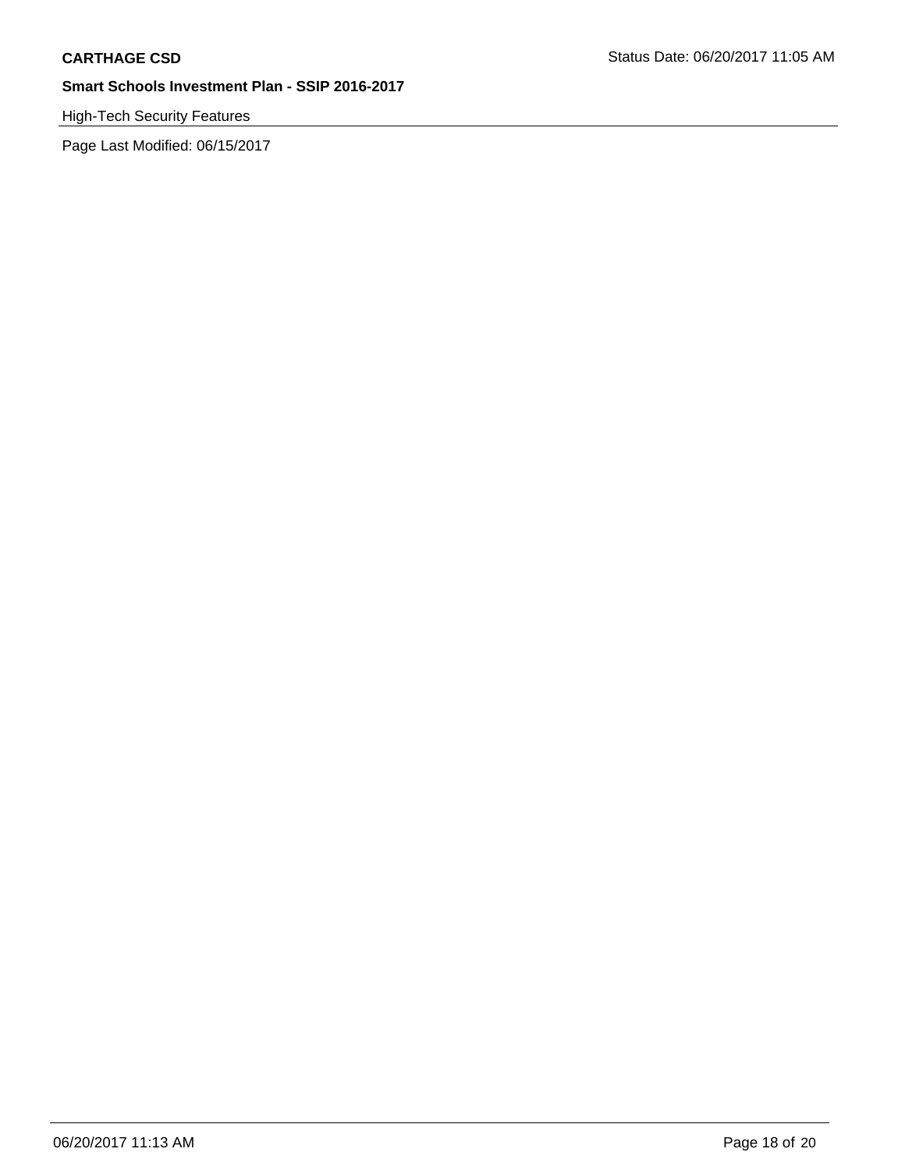# High-Tech Security Features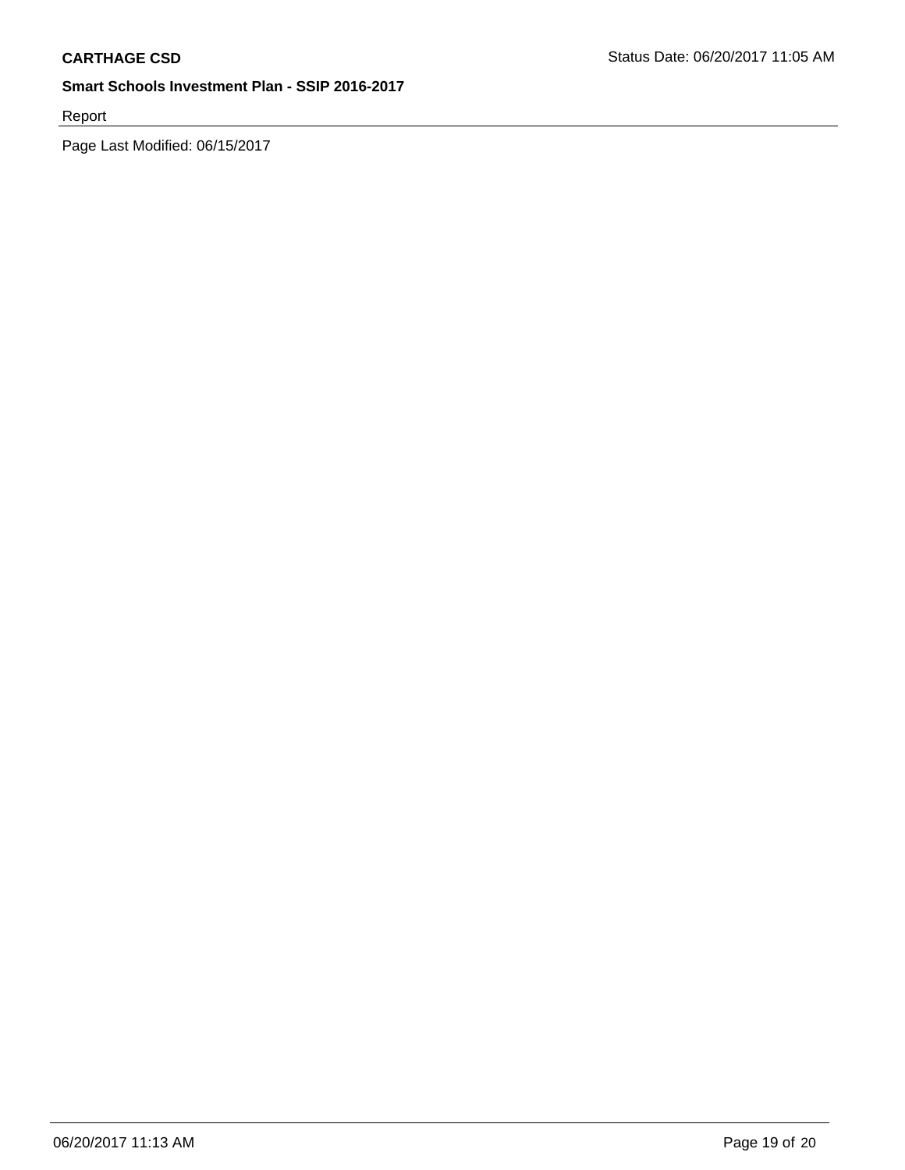Report